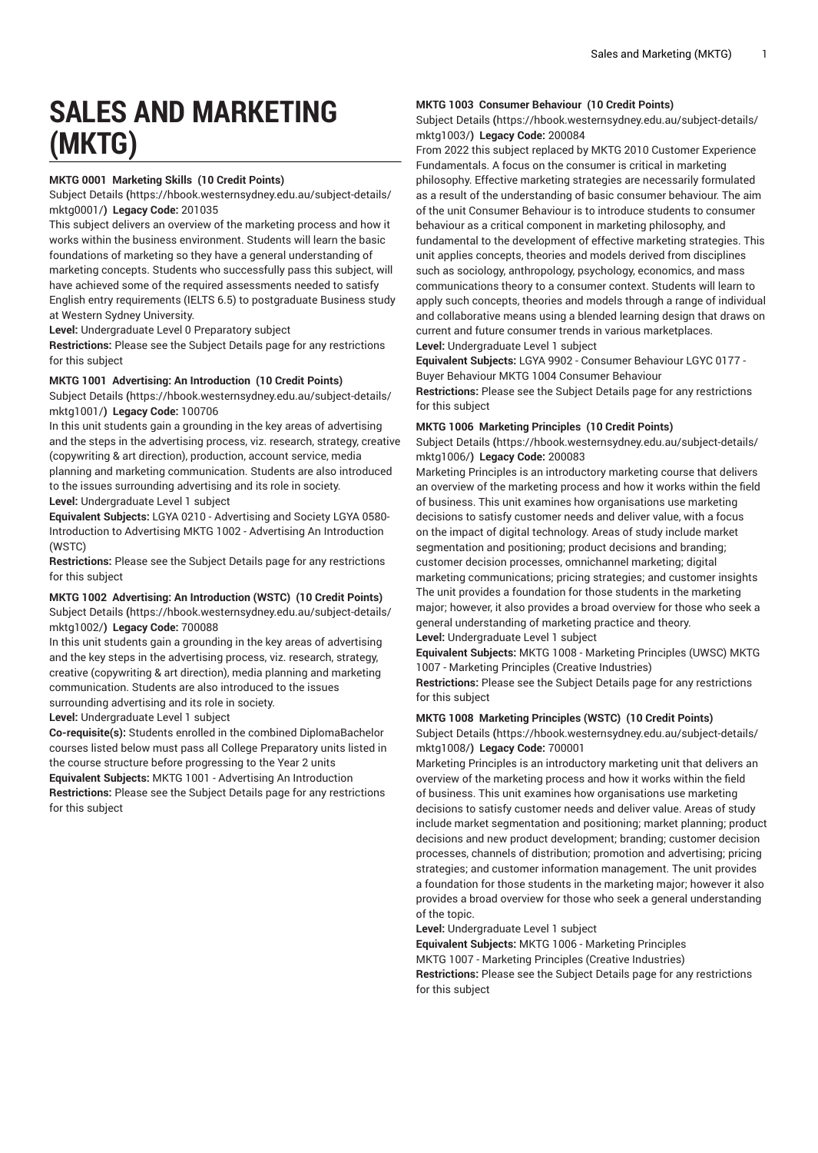# **SALES AND MARKETING (MKTG)**

## **MKTG 0001 Marketing Skills (10 Credit Points)**

[Subject Details](https://hbook.westernsydney.edu.au/subject-details/mktg0001/) **(**[https://hbook.westernsydney.edu.au/subject-details/](https://hbook.westernsydney.edu.au/subject-details/mktg0001/) [mktg0001/](https://hbook.westernsydney.edu.au/subject-details/mktg0001/)**) Legacy Code:** 201035

This subject delivers an overview of the marketing process and how it works within the business environment. Students will learn the basic foundations of marketing so they have a general understanding of marketing concepts. Students who successfully pass this subject, will have achieved some of the required assessments needed to satisfy English entry requirements (IELTS 6.5) to postgraduate Business study at Western Sydney University.

**Level:** Undergraduate Level 0 Preparatory subject

**Restrictions:** Please see the Subject Details page for any restrictions for this subject

## **MKTG 1001 Advertising: An Introduction (10 Credit Points)**

[Subject Details](https://hbook.westernsydney.edu.au/subject-details/mktg1001/) **(**[https://hbook.westernsydney.edu.au/subject-details/](https://hbook.westernsydney.edu.au/subject-details/mktg1001/) [mktg1001/](https://hbook.westernsydney.edu.au/subject-details/mktg1001/)**) Legacy Code:** 100706

In this unit students gain a grounding in the key areas of advertising and the steps in the advertising process, viz. research, strategy, creative (copywriting & art direction), production, account service, media planning and marketing communication. Students are also introduced to the issues surrounding advertising and its role in society. **Level:** Undergraduate Level 1 subject

**Equivalent Subjects:** LGYA 0210 - Advertising and Society LGYA 0580- Introduction to Advertising MKTG 1002 - Advertising An Introduction (WSTC)

**Restrictions:** Please see the Subject Details page for any restrictions for this subject

## **MKTG 1002 Advertising: An Introduction (WSTC) (10 Credit Points)**

[Subject Details](https://hbook.westernsydney.edu.au/subject-details/mktg1002/) **(**[https://hbook.westernsydney.edu.au/subject-details/](https://hbook.westernsydney.edu.au/subject-details/mktg1002/) [mktg1002/](https://hbook.westernsydney.edu.au/subject-details/mktg1002/)**) Legacy Code:** 700088

In this unit students gain a grounding in the key areas of advertising and the key steps in the advertising process, viz. research, strategy, creative (copywriting & art direction), media planning and marketing communication. Students are also introduced to the issues surrounding advertising and its role in society.

**Level:** Undergraduate Level 1 subject

**Co-requisite(s):** Students enrolled in the combined DiplomaBachelor courses listed below must pass all College Preparatory units listed in the course structure before progressing to the Year 2 units

**Equivalent Subjects:** MKTG 1001 - Advertising An Introduction **Restrictions:** Please see the Subject Details page for any restrictions for this subject

## **MKTG 1003 Consumer Behaviour (10 Credit Points)**

[Subject Details](https://hbook.westernsydney.edu.au/subject-details/mktg1003/) **(**[https://hbook.westernsydney.edu.au/subject-details/](https://hbook.westernsydney.edu.au/subject-details/mktg1003/) [mktg1003/](https://hbook.westernsydney.edu.au/subject-details/mktg1003/)**) Legacy Code:** 200084

From 2022 this subject replaced by MKTG 2010 Customer Experience Fundamentals. A focus on the consumer is critical in marketing philosophy. Effective marketing strategies are necessarily formulated as a result of the understanding of basic consumer behaviour. The aim of the unit Consumer Behaviour is to introduce students to consumer behaviour as a critical component in marketing philosophy, and fundamental to the development of effective marketing strategies. This unit applies concepts, theories and models derived from disciplines such as sociology, anthropology, psychology, economics, and mass communications theory to a consumer context. Students will learn to apply such concepts, theories and models through a range of individual and collaborative means using a blended learning design that draws on current and future consumer trends in various marketplaces. **Level:** Undergraduate Level 1 subject

**Equivalent Subjects:** LGYA 9902 - Consumer Behaviour LGYC 0177 - Buyer Behaviour MKTG 1004 Consumer Behaviour

**Restrictions:** Please see the Subject Details page for any restrictions for this subject

## **MKTG 1006 Marketing Principles (10 Credit Points)**

[Subject Details](https://hbook.westernsydney.edu.au/subject-details/mktg1006/) **(**[https://hbook.westernsydney.edu.au/subject-details/](https://hbook.westernsydney.edu.au/subject-details/mktg1006/) [mktg1006/](https://hbook.westernsydney.edu.au/subject-details/mktg1006/)**) Legacy Code:** 200083

Marketing Principles is an introductory marketing course that delivers an overview of the marketing process and how it works within the field of business. This unit examines how organisations use marketing decisions to satisfy customer needs and deliver value, with a focus on the impact of digital technology. Areas of study include market segmentation and positioning; product decisions and branding; customer decision processes, omnichannel marketing; digital marketing communications; pricing strategies; and customer insights The unit provides a foundation for those students in the marketing major; however, it also provides a broad overview for those who seek a general understanding of marketing practice and theory. **Level:** Undergraduate Level 1 subject

**Equivalent Subjects:** MKTG 1008 - Marketing Principles (UWSC) MKTG 1007 - Marketing Principles (Creative Industries)

**Restrictions:** Please see the Subject Details page for any restrictions for this subject

## **MKTG 1008 Marketing Principles (WSTC) (10 Credit Points)**

[Subject Details](https://hbook.westernsydney.edu.au/subject-details/mktg1008/) **(**[https://hbook.westernsydney.edu.au/subject-details/](https://hbook.westernsydney.edu.au/subject-details/mktg1008/) [mktg1008/](https://hbook.westernsydney.edu.au/subject-details/mktg1008/)**) Legacy Code:** 700001

Marketing Principles is an introductory marketing unit that delivers an overview of the marketing process and how it works within the field of business. This unit examines how organisations use marketing decisions to satisfy customer needs and deliver value. Areas of study include market segmentation and positioning; market planning; product decisions and new product development; branding; customer decision processes, channels of distribution; promotion and advertising; pricing strategies; and customer information management. The unit provides a foundation for those students in the marketing major; however it also provides a broad overview for those who seek a general understanding of the topic.

**Level:** Undergraduate Level 1 subject

**Equivalent Subjects:** MKTG 1006 - Marketing Principles

MKTG 1007 - Marketing Principles (Creative Industries)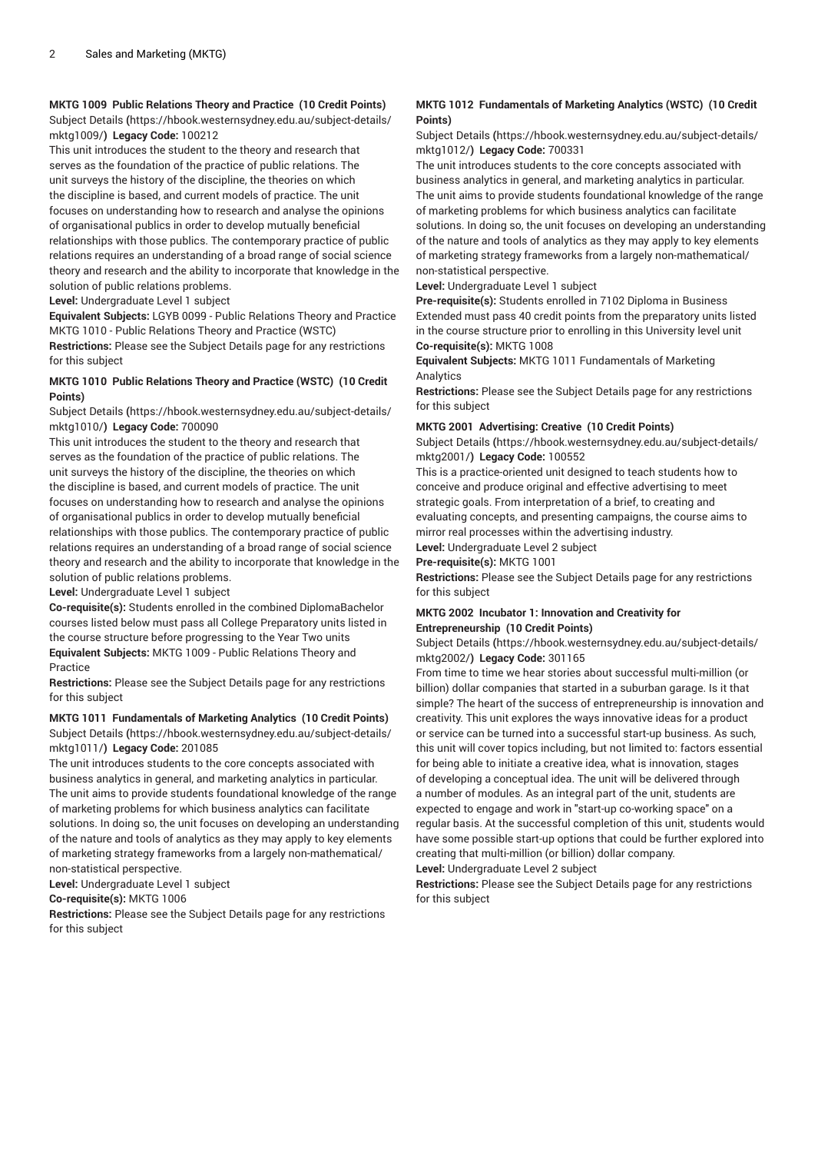# **MKTG 1009 Public Relations Theory and Practice (10 Credit Points)**

[Subject Details](https://hbook.westernsydney.edu.au/subject-details/mktg1009/) **(**[https://hbook.westernsydney.edu.au/subject-details/](https://hbook.westernsydney.edu.au/subject-details/mktg1009/) [mktg1009/](https://hbook.westernsydney.edu.au/subject-details/mktg1009/)**) Legacy Code:** 100212

This unit introduces the student to the theory and research that serves as the foundation of the practice of public relations. The unit surveys the history of the discipline, the theories on which the discipline is based, and current models of practice. The unit focuses on understanding how to research and analyse the opinions of organisational publics in order to develop mutually beneficial relationships with those publics. The contemporary practice of public relations requires an understanding of a broad range of social science theory and research and the ability to incorporate that knowledge in the solution of public relations problems.

**Level:** Undergraduate Level 1 subject

**Equivalent Subjects:** LGYB 0099 - Public Relations Theory and Practice MKTG 1010 - Public Relations Theory and Practice (WSTC)

**Restrictions:** Please see the Subject Details page for any restrictions for this subject

## **MKTG 1010 Public Relations Theory and Practice (WSTC) (10 Credit Points)**

[Subject Details](https://hbook.westernsydney.edu.au/subject-details/mktg1010/) **(**[https://hbook.westernsydney.edu.au/subject-details/](https://hbook.westernsydney.edu.au/subject-details/mktg1010/) [mktg1010/](https://hbook.westernsydney.edu.au/subject-details/mktg1010/)**) Legacy Code:** 700090

This unit introduces the student to the theory and research that serves as the foundation of the practice of public relations. The unit surveys the history of the discipline, the theories on which the discipline is based, and current models of practice. The unit focuses on understanding how to research and analyse the opinions of organisational publics in order to develop mutually beneficial relationships with those publics. The contemporary practice of public relations requires an understanding of a broad range of social science theory and research and the ability to incorporate that knowledge in the solution of public relations problems.

**Level:** Undergraduate Level 1 subject

**Co-requisite(s):** Students enrolled in the combined DiplomaBachelor courses listed below must pass all College Preparatory units listed in the course structure before progressing to the Year Two units **Equivalent Subjects:** MKTG 1009 - Public Relations Theory and Practice

**Restrictions:** Please see the Subject Details page for any restrictions for this subject

## **MKTG 1011 Fundamentals of Marketing Analytics (10 Credit Points)** [Subject Details](https://hbook.westernsydney.edu.au/subject-details/mktg1011/) **(**[https://hbook.westernsydney.edu.au/subject-details/](https://hbook.westernsydney.edu.au/subject-details/mktg1011/) [mktg1011/](https://hbook.westernsydney.edu.au/subject-details/mktg1011/)**) Legacy Code:** 201085

The unit introduces students to the core concepts associated with business analytics in general, and marketing analytics in particular. The unit aims to provide students foundational knowledge of the range of marketing problems for which business analytics can facilitate solutions. In doing so, the unit focuses on developing an understanding of the nature and tools of analytics as they may apply to key elements of marketing strategy frameworks from a largely non-mathematical/ non-statistical perspective.

**Level:** Undergraduate Level 1 subject

**Co-requisite(s):** MKTG 1006

**Restrictions:** Please see the Subject Details page for any restrictions for this subject

# **MKTG 1012 Fundamentals of Marketing Analytics (WSTC) (10 Credit Points)**

[Subject Details](https://hbook.westernsydney.edu.au/subject-details/mktg1012/) **(**[https://hbook.westernsydney.edu.au/subject-details/](https://hbook.westernsydney.edu.au/subject-details/mktg1012/) [mktg1012/](https://hbook.westernsydney.edu.au/subject-details/mktg1012/)**) Legacy Code:** 700331

The unit introduces students to the core concepts associated with business analytics in general, and marketing analytics in particular. The unit aims to provide students foundational knowledge of the range of marketing problems for which business analytics can facilitate solutions. In doing so, the unit focuses on developing an understanding of the nature and tools of analytics as they may apply to key elements of marketing strategy frameworks from a largely non-mathematical/ non-statistical perspective.

## **Level:** Undergraduate Level 1 subject

**Pre-requisite(s):** Students enrolled in 7102 Diploma in Business Extended must pass 40 credit points from the preparatory units listed in the course structure prior to enrolling in this University level unit **Co-requisite(s):** MKTG 1008

**Equivalent Subjects:** MKTG 1011 Fundamentals of Marketing **Analytics** 

**Restrictions:** Please see the Subject Details page for any restrictions for this subject

## **MKTG 2001 Advertising: Creative (10 Credit Points)**

[Subject Details](https://hbook.westernsydney.edu.au/subject-details/mktg2001/) **(**[https://hbook.westernsydney.edu.au/subject-details/](https://hbook.westernsydney.edu.au/subject-details/mktg2001/) [mktg2001/](https://hbook.westernsydney.edu.au/subject-details/mktg2001/)**) Legacy Code:** 100552

This is a practice-oriented unit designed to teach students how to conceive and produce original and effective advertising to meet strategic goals. From interpretation of a brief, to creating and evaluating concepts, and presenting campaigns, the course aims to mirror real processes within the advertising industry. **Level:** Undergraduate Level 2 subject

**Pre-requisite(s):** MKTG 1001

**Restrictions:** Please see the Subject Details page for any restrictions for this subject

# **MKTG 2002 Incubator 1: Innovation and Creativity for Entrepreneurship (10 Credit Points)**

[Subject Details](https://hbook.westernsydney.edu.au/subject-details/mktg2002/) **(**[https://hbook.westernsydney.edu.au/subject-details/](https://hbook.westernsydney.edu.au/subject-details/mktg2002/) [mktg2002/](https://hbook.westernsydney.edu.au/subject-details/mktg2002/)**) Legacy Code:** 301165

From time to time we hear stories about successful multi-million (or billion) dollar companies that started in a suburban garage. Is it that simple? The heart of the success of entrepreneurship is innovation and creativity. This unit explores the ways innovative ideas for a product or service can be turned into a successful start-up business. As such, this unit will cover topics including, but not limited to: factors essential for being able to initiate a creative idea, what is innovation, stages of developing a conceptual idea. The unit will be delivered through a number of modules. As an integral part of the unit, students are expected to engage and work in "start-up co-working space" on a regular basis. At the successful completion of this unit, students would have some possible start-up options that could be further explored into creating that multi-million (or billion) dollar company.

**Level:** Undergraduate Level 2 subject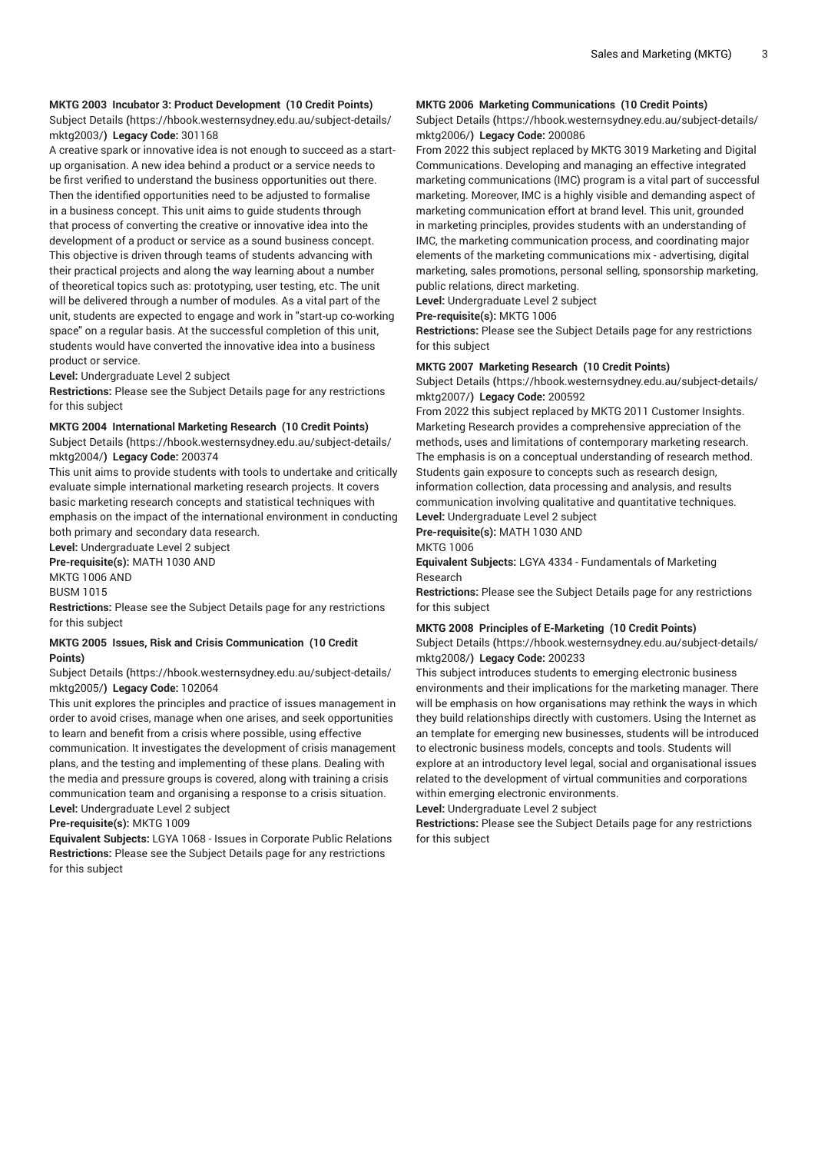## **MKTG 2003 Incubator 3: Product Development (10 Credit Points)**

[Subject Details](https://hbook.westernsydney.edu.au/subject-details/mktg2003/) **(**[https://hbook.westernsydney.edu.au/subject-details/](https://hbook.westernsydney.edu.au/subject-details/mktg2003/) [mktg2003/](https://hbook.westernsydney.edu.au/subject-details/mktg2003/)**) Legacy Code:** 301168

A creative spark or innovative idea is not enough to succeed as a startup organisation. A new idea behind a product or a service needs to be first verified to understand the business opportunities out there. Then the identified opportunities need to be adjusted to formalise in a business concept. This unit aims to guide students through that process of converting the creative or innovative idea into the development of a product or service as a sound business concept. This objective is driven through teams of students advancing with their practical projects and along the way learning about a number of theoretical topics such as: prototyping, user testing, etc. The unit will be delivered through a number of modules. As a vital part of the unit, students are expected to engage and work in "start-up co-working space" on a regular basis. At the successful completion of this unit, students would have converted the innovative idea into a business product or service.

**Level:** Undergraduate Level 2 subject

**Restrictions:** Please see the Subject Details page for any restrictions for this subject

#### **MKTG 2004 International Marketing Research (10 Credit Points)**

[Subject Details](https://hbook.westernsydney.edu.au/subject-details/mktg2004/) **(**[https://hbook.westernsydney.edu.au/subject-details/](https://hbook.westernsydney.edu.au/subject-details/mktg2004/) [mktg2004/](https://hbook.westernsydney.edu.au/subject-details/mktg2004/)**) Legacy Code:** 200374

This unit aims to provide students with tools to undertake and critically evaluate simple international marketing research projects. It covers basic marketing research concepts and statistical techniques with emphasis on the impact of the international environment in conducting both primary and secondary data research.

**Level:** Undergraduate Level 2 subject

**Pre-requisite(s):** MATH 1030 AND

MKTG 1006 AND BUSM 1015

**Restrictions:** Please see the Subject Details page for any restrictions for this subject

## **MKTG 2005 Issues, Risk and Crisis Communication (10 Credit Points)**

[Subject Details](https://hbook.westernsydney.edu.au/subject-details/mktg2005/) **(**[https://hbook.westernsydney.edu.au/subject-details/](https://hbook.westernsydney.edu.au/subject-details/mktg2005/) [mktg2005/](https://hbook.westernsydney.edu.au/subject-details/mktg2005/)**) Legacy Code:** 102064

This unit explores the principles and practice of issues management in order to avoid crises, manage when one arises, and seek opportunities to learn and benefit from a crisis where possible, using effective communication. It investigates the development of crisis management plans, and the testing and implementing of these plans. Dealing with the media and pressure groups is covered, along with training a crisis communication team and organising a response to a crisis situation. **Level:** Undergraduate Level 2 subject

**Pre-requisite(s):** MKTG 1009

**Equivalent Subjects:** LGYA 1068 - Issues in Corporate Public Relations **Restrictions:** Please see the Subject Details page for any restrictions for this subject

## **MKTG 2006 Marketing Communications (10 Credit Points)**

[Subject Details](https://hbook.westernsydney.edu.au/subject-details/mktg2006/) **(**[https://hbook.westernsydney.edu.au/subject-details/](https://hbook.westernsydney.edu.au/subject-details/mktg2006/) [mktg2006/](https://hbook.westernsydney.edu.au/subject-details/mktg2006/)**) Legacy Code:** 200086

From 2022 this subject replaced by MKTG 3019 Marketing and Digital Communications. Developing and managing an effective integrated marketing communications (IMC) program is a vital part of successful marketing. Moreover, IMC is a highly visible and demanding aspect of marketing communication effort at brand level. This unit, grounded in marketing principles, provides students with an understanding of IMC, the marketing communication process, and coordinating major elements of the marketing communications mix - advertising, digital marketing, sales promotions, personal selling, sponsorship marketing, public relations, direct marketing.

**Level:** Undergraduate Level 2 subject

**Pre-requisite(s):** MKTG 1006

**Restrictions:** Please see the Subject Details page for any restrictions for this subject

#### **MKTG 2007 Marketing Research (10 Credit Points)**

[Subject Details](https://hbook.westernsydney.edu.au/subject-details/mktg2007/) **(**[https://hbook.westernsydney.edu.au/subject-details/](https://hbook.westernsydney.edu.au/subject-details/mktg2007/) [mktg2007/](https://hbook.westernsydney.edu.au/subject-details/mktg2007/)**) Legacy Code:** 200592

From 2022 this subject replaced by MKTG 2011 Customer Insights. Marketing Research provides a comprehensive appreciation of the methods, uses and limitations of contemporary marketing research. The emphasis is on a conceptual understanding of research method. Students gain exposure to concepts such as research design, information collection, data processing and analysis, and results communication involving qualitative and quantitative techniques.

**Level:** Undergraduate Level 2 subject

**Pre-requisite(s):** MATH 1030 AND **MKTG 1006** 

**Equivalent Subjects:** LGYA 4334 - Fundamentals of Marketing Research

**Restrictions:** Please see the Subject Details page for any restrictions for this subject

## **MKTG 2008 Principles of E-Marketing (10 Credit Points)**

[Subject Details](https://hbook.westernsydney.edu.au/subject-details/mktg2008/) **(**[https://hbook.westernsydney.edu.au/subject-details/](https://hbook.westernsydney.edu.au/subject-details/mktg2008/) [mktg2008/](https://hbook.westernsydney.edu.au/subject-details/mktg2008/)**) Legacy Code:** 200233

This subject introduces students to emerging electronic business environments and their implications for the marketing manager. There will be emphasis on how organisations may rethink the ways in which they build relationships directly with customers. Using the Internet as an template for emerging new businesses, students will be introduced to electronic business models, concepts and tools. Students will explore at an introductory level legal, social and organisational issues related to the development of virtual communities and corporations within emerging electronic environments.

**Level:** Undergraduate Level 2 subject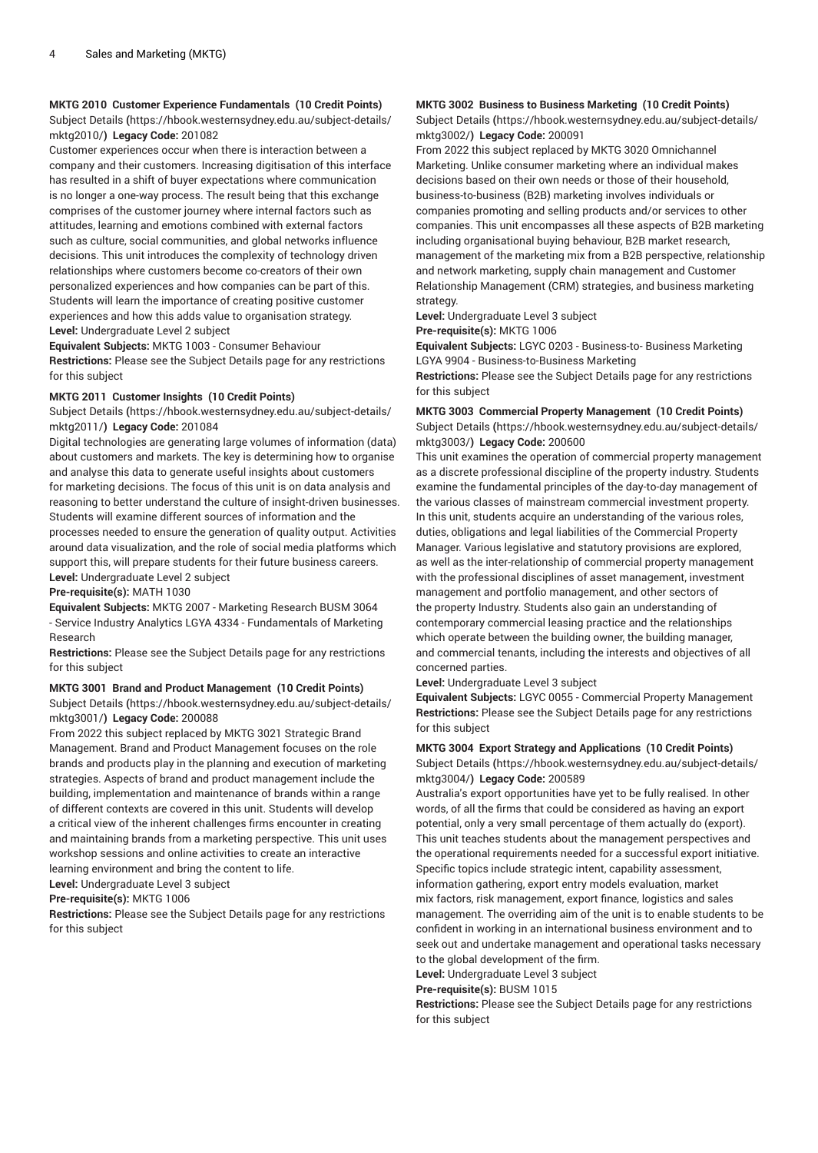## **MKTG 2010 Customer Experience Fundamentals (10 Credit Points)**

[Subject Details](https://hbook.westernsydney.edu.au/subject-details/mktg2010/) **(**[https://hbook.westernsydney.edu.au/subject-details/](https://hbook.westernsydney.edu.au/subject-details/mktg2010/) [mktg2010/](https://hbook.westernsydney.edu.au/subject-details/mktg2010/)**) Legacy Code:** 201082

Customer experiences occur when there is interaction between a company and their customers. Increasing digitisation of this interface has resulted in a shift of buyer expectations where communication is no longer a one-way process. The result being that this exchange comprises of the customer journey where internal factors such as attitudes, learning and emotions combined with external factors such as culture, social communities, and global networks influence decisions. This unit introduces the complexity of technology driven relationships where customers become co-creators of their own personalized experiences and how companies can be part of this. Students will learn the importance of creating positive customer experiences and how this adds value to organisation strategy. **Level:** Undergraduate Level 2 subject

**Equivalent Subjects:** MKTG 1003 - Consumer Behaviour **Restrictions:** Please see the Subject Details page for any restrictions for this subject

# **MKTG 2011 Customer Insights (10 Credit Points)**

[Subject Details](https://hbook.westernsydney.edu.au/subject-details/mktg2011/) **(**[https://hbook.westernsydney.edu.au/subject-details/](https://hbook.westernsydney.edu.au/subject-details/mktg2011/) [mktg2011/](https://hbook.westernsydney.edu.au/subject-details/mktg2011/)**) Legacy Code:** 201084

Digital technologies are generating large volumes of information (data) about customers and markets. The key is determining how to organise and analyse this data to generate useful insights about customers for marketing decisions. The focus of this unit is on data analysis and reasoning to better understand the culture of insight-driven businesses. Students will examine different sources of information and the processes needed to ensure the generation of quality output. Activities around data visualization, and the role of social media platforms which support this, will prepare students for their future business careers. **Level:** Undergraduate Level 2 subject

**Pre-requisite(s):** MATH 1030

**Equivalent Subjects:** MKTG 2007 - Marketing Research BUSM 3064 - Service Industry Analytics LGYA 4334 - Fundamentals of Marketing Research

**Restrictions:** Please see the Subject Details page for any restrictions for this subject

#### **MKTG 3001 Brand and Product Management (10 Credit Points)**

[Subject Details](https://hbook.westernsydney.edu.au/subject-details/mktg3001/) **(**[https://hbook.westernsydney.edu.au/subject-details/](https://hbook.westernsydney.edu.au/subject-details/mktg3001/) [mktg3001/](https://hbook.westernsydney.edu.au/subject-details/mktg3001/)**) Legacy Code:** 200088

From 2022 this subject replaced by MKTG 3021 Strategic Brand Management. Brand and Product Management focuses on the role brands and products play in the planning and execution of marketing strategies. Aspects of brand and product management include the building, implementation and maintenance of brands within a range of different contexts are covered in this unit. Students will develop a critical view of the inherent challenges firms encounter in creating and maintaining brands from a marketing perspective. This unit uses workshop sessions and online activities to create an interactive learning environment and bring the content to life.

**Level:** Undergraduate Level 3 subject

**Pre-requisite(s):** MKTG 1006

**Restrictions:** Please see the Subject Details page for any restrictions for this subject

# **MKTG 3002 Business to Business Marketing (10 Credit Points)**

[Subject Details](https://hbook.westernsydney.edu.au/subject-details/mktg3002/) **(**[https://hbook.westernsydney.edu.au/subject-details/](https://hbook.westernsydney.edu.au/subject-details/mktg3002/) [mktg3002/](https://hbook.westernsydney.edu.au/subject-details/mktg3002/)**) Legacy Code:** 200091

From 2022 this subject replaced by MKTG 3020 Omnichannel Marketing. Unlike consumer marketing where an individual makes decisions based on their own needs or those of their household, business-to-business (B2B) marketing involves individuals or companies promoting and selling products and/or services to other companies. This unit encompasses all these aspects of B2B marketing including organisational buying behaviour, B2B market research, management of the marketing mix from a B2B perspective, relationship and network marketing, supply chain management and Customer Relationship Management (CRM) strategies, and business marketing strategy.

**Level:** Undergraduate Level 3 subject

**Pre-requisite(s):** MKTG 1006

**Equivalent Subjects:** LGYC 0203 - Business-to- Business Marketing LGYA 9904 - Business-to-Business Marketing

**Restrictions:** Please see the Subject Details page for any restrictions for this subject

## **MKTG 3003 Commercial Property Management (10 Credit Points)** [Subject Details](https://hbook.westernsydney.edu.au/subject-details/mktg3003/) **(**[https://hbook.westernsydney.edu.au/subject-details/](https://hbook.westernsydney.edu.au/subject-details/mktg3003/) [mktg3003/](https://hbook.westernsydney.edu.au/subject-details/mktg3003/)**) Legacy Code:** 200600

This unit examines the operation of commercial property management as a discrete professional discipline of the property industry. Students examine the fundamental principles of the day-to-day management of the various classes of mainstream commercial investment property. In this unit, students acquire an understanding of the various roles, duties, obligations and legal liabilities of the Commercial Property Manager. Various legislative and statutory provisions are explored, as well as the inter-relationship of commercial property management with the professional disciplines of asset management, investment management and portfolio management, and other sectors of the property Industry. Students also gain an understanding of contemporary commercial leasing practice and the relationships which operate between the building owner, the building manager, and commercial tenants, including the interests and objectives of all concerned parties.

**Level:** Undergraduate Level 3 subject

**Equivalent Subjects:** LGYC 0055 - Commercial Property Management **Restrictions:** Please see the Subject Details page for any restrictions for this subject

# **MKTG 3004 Export Strategy and Applications (10 Credit Points)**

[Subject Details](https://hbook.westernsydney.edu.au/subject-details/mktg3004/) **(**[https://hbook.westernsydney.edu.au/subject-details/](https://hbook.westernsydney.edu.au/subject-details/mktg3004/) [mktg3004/](https://hbook.westernsydney.edu.au/subject-details/mktg3004/)**) Legacy Code:** 200589

Australia's export opportunities have yet to be fully realised. In other words, of all the firms that could be considered as having an export potential, only a very small percentage of them actually do (export). This unit teaches students about the management perspectives and the operational requirements needed for a successful export initiative. Specific topics include strategic intent, capability assessment, information gathering, export entry models evaluation, market mix factors, risk management, export finance, logistics and sales management. The overriding aim of the unit is to enable students to be confident in working in an international business environment and to seek out and undertake management and operational tasks necessary to the global development of the firm.

**Level:** Undergraduate Level 3 subject

**Pre-requisite(s):** BUSM 1015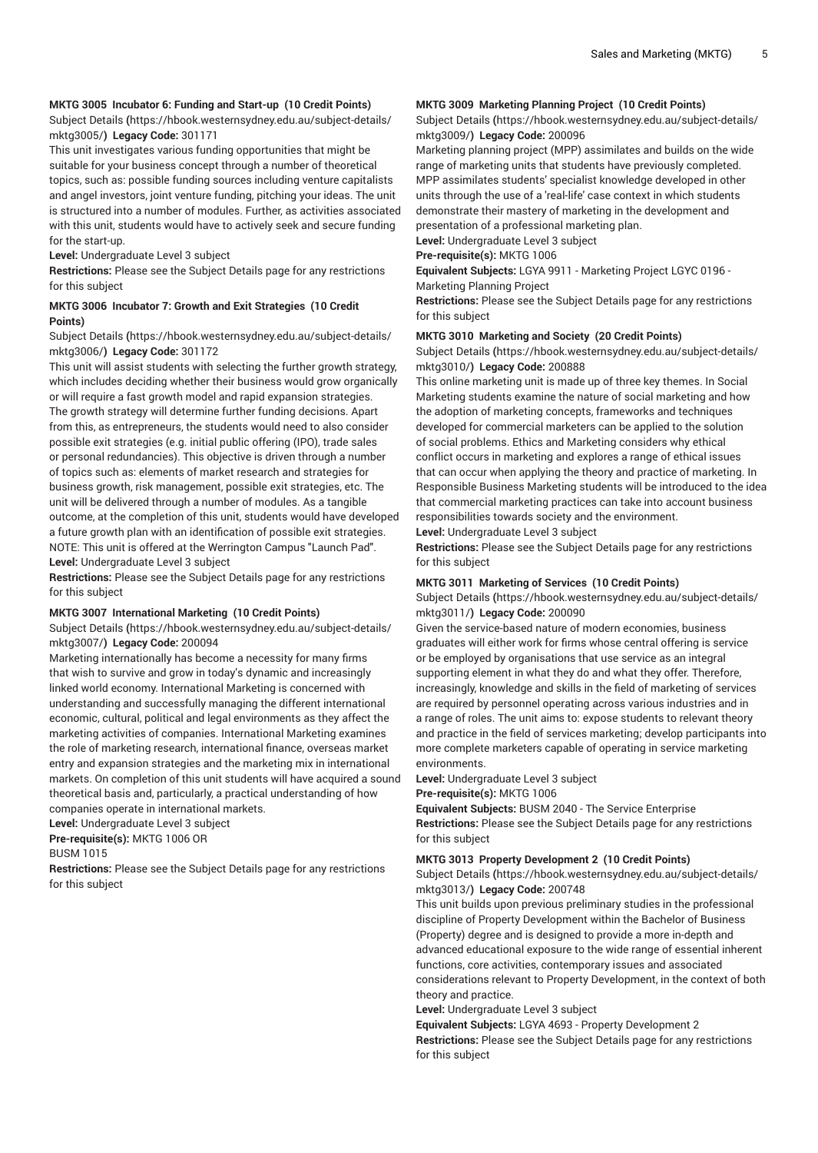## **MKTG 3005 Incubator 6: Funding and Start-up (10 Credit Points)**

[Subject Details](https://hbook.westernsydney.edu.au/subject-details/mktg3005/) **(**[https://hbook.westernsydney.edu.au/subject-details/](https://hbook.westernsydney.edu.au/subject-details/mktg3005/) [mktg3005/](https://hbook.westernsydney.edu.au/subject-details/mktg3005/)**) Legacy Code:** 301171

This unit investigates various funding opportunities that might be suitable for your business concept through a number of theoretical topics, such as: possible funding sources including venture capitalists and angel investors, joint venture funding, pitching your ideas. The unit is structured into a number of modules. Further, as activities associated with this unit, students would have to actively seek and secure funding for the start-up.

**Level:** Undergraduate Level 3 subject

**Restrictions:** Please see the Subject Details page for any restrictions for this subject

## **MKTG 3006 Incubator 7: Growth and Exit Strategies (10 Credit Points)**

## [Subject Details](https://hbook.westernsydney.edu.au/subject-details/mktg3006/) **(**[https://hbook.westernsydney.edu.au/subject-details/](https://hbook.westernsydney.edu.au/subject-details/mktg3006/) [mktg3006/](https://hbook.westernsydney.edu.au/subject-details/mktg3006/)**) Legacy Code:** 301172

This unit will assist students with selecting the further growth strategy, which includes deciding whether their business would grow organically or will require a fast growth model and rapid expansion strategies. The growth strategy will determine further funding decisions. Apart from this, as entrepreneurs, the students would need to also consider possible exit strategies (e.g. initial public offering (IPO), trade sales or personal redundancies). This objective is driven through a number of topics such as: elements of market research and strategies for business growth, risk management, possible exit strategies, etc. The unit will be delivered through a number of modules. As a tangible outcome, at the completion of this unit, students would have developed a future growth plan with an identification of possible exit strategies. NOTE: This unit is offered at the Werrington Campus "Launch Pad". **Level:** Undergraduate Level 3 subject

**Restrictions:** Please see the Subject Details page for any restrictions for this subject

#### **MKTG 3007 International Marketing (10 Credit Points)**

[Subject Details](https://hbook.westernsydney.edu.au/subject-details/mktg3007/) **(**[https://hbook.westernsydney.edu.au/subject-details/](https://hbook.westernsydney.edu.au/subject-details/mktg3007/) [mktg3007/](https://hbook.westernsydney.edu.au/subject-details/mktg3007/)**) Legacy Code:** 200094

Marketing internationally has become a necessity for many firms that wish to survive and grow in today's dynamic and increasingly linked world economy. International Marketing is concerned with understanding and successfully managing the different international economic, cultural, political and legal environments as they affect the marketing activities of companies. International Marketing examines the role of marketing research, international finance, overseas market entry and expansion strategies and the marketing mix in international markets. On completion of this unit students will have acquired a sound theoretical basis and, particularly, a practical understanding of how companies operate in international markets.

**Level:** Undergraduate Level 3 subject

**Pre-requisite(s):** MKTG 1006 OR

BUSM 1015

**Restrictions:** Please see the Subject Details page for any restrictions for this subject

# **MKTG 3009 Marketing Planning Project (10 Credit Points)**

[Subject Details](https://hbook.westernsydney.edu.au/subject-details/mktg3009/) **(**[https://hbook.westernsydney.edu.au/subject-details/](https://hbook.westernsydney.edu.au/subject-details/mktg3009/) [mktg3009/](https://hbook.westernsydney.edu.au/subject-details/mktg3009/)**) Legacy Code:** 200096

Marketing planning project (MPP) assimilates and builds on the wide range of marketing units that students have previously completed. MPP assimilates students' specialist knowledge developed in other units through the use of a 'real-life' case context in which students demonstrate their mastery of marketing in the development and presentation of a professional marketing plan.

**Level:** Undergraduate Level 3 subject

**Pre-requisite(s):** MKTG 1006

**Equivalent Subjects:** LGYA 9911 - Marketing Project LGYC 0196 - Marketing Planning Project

**Restrictions:** Please see the Subject Details page for any restrictions for this subject

#### **MKTG 3010 Marketing and Society (20 Credit Points)**

[Subject Details](https://hbook.westernsydney.edu.au/subject-details/mktg3010/) **(**[https://hbook.westernsydney.edu.au/subject-details/](https://hbook.westernsydney.edu.au/subject-details/mktg3010/) [mktg3010/](https://hbook.westernsydney.edu.au/subject-details/mktg3010/)**) Legacy Code:** 200888

This online marketing unit is made up of three key themes. In Social Marketing students examine the nature of social marketing and how the adoption of marketing concepts, frameworks and techniques developed for commercial marketers can be applied to the solution of social problems. Ethics and Marketing considers why ethical conflict occurs in marketing and explores a range of ethical issues that can occur when applying the theory and practice of marketing. In Responsible Business Marketing students will be introduced to the idea that commercial marketing practices can take into account business responsibilities towards society and the environment.

**Level:** Undergraduate Level 3 subject

**Restrictions:** Please see the Subject Details page for any restrictions for this subject

## **MKTG 3011 Marketing of Services (10 Credit Points)**

[Subject Details](https://hbook.westernsydney.edu.au/subject-details/mktg3011/) **(**[https://hbook.westernsydney.edu.au/subject-details/](https://hbook.westernsydney.edu.au/subject-details/mktg3011/) [mktg3011/](https://hbook.westernsydney.edu.au/subject-details/mktg3011/)**) Legacy Code:** 200090

Given the service-based nature of modern economies, business graduates will either work for firms whose central offering is service or be employed by organisations that use service as an integral supporting element in what they do and what they offer. Therefore, increasingly, knowledge and skills in the field of marketing of services are required by personnel operating across various industries and in a range of roles. The unit aims to: expose students to relevant theory and practice in the field of services marketing; develop participants into more complete marketers capable of operating in service marketing environments.

**Level:** Undergraduate Level 3 subject

**Pre-requisite(s):** MKTG 1006

**Equivalent Subjects:** BUSM 2040 - The Service Enterprise **Restrictions:** Please see the Subject Details page for any restrictions for this subject

## **MKTG 3013 Property Development 2 (10 Credit Points)**

[Subject Details](https://hbook.westernsydney.edu.au/subject-details/mktg3013/) **(**[https://hbook.westernsydney.edu.au/subject-details/](https://hbook.westernsydney.edu.au/subject-details/mktg3013/) [mktg3013/](https://hbook.westernsydney.edu.au/subject-details/mktg3013/)**) Legacy Code:** 200748

This unit builds upon previous preliminary studies in the professional discipline of Property Development within the Bachelor of Business (Property) degree and is designed to provide a more in-depth and advanced educational exposure to the wide range of essential inherent functions, core activities, contemporary issues and associated considerations relevant to Property Development, in the context of both theory and practice.

**Level:** Undergraduate Level 3 subject

**Equivalent Subjects:** LGYA 4693 - Property Development 2 **Restrictions:** Please see the Subject Details page for any restrictions for this subject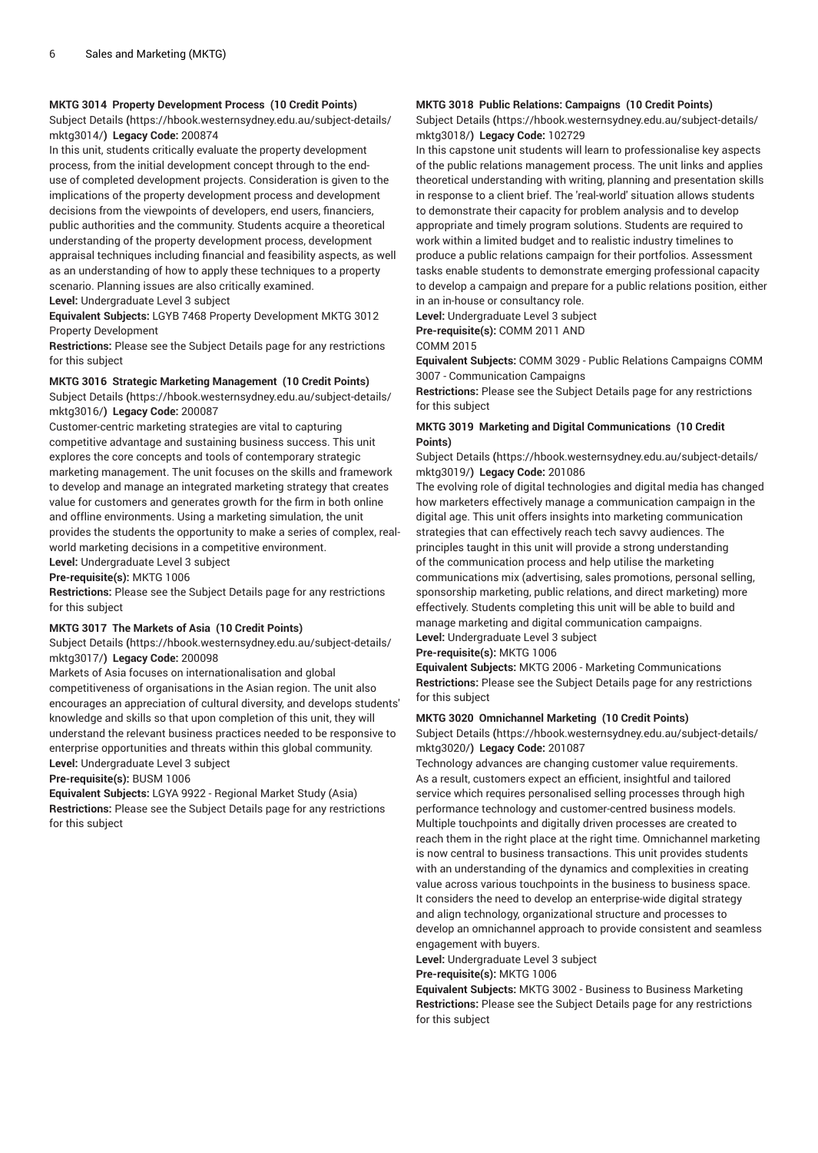## **MKTG 3014 Property Development Process (10 Credit Points)**

[Subject Details](https://hbook.westernsydney.edu.au/subject-details/mktg3014/) **(**[https://hbook.westernsydney.edu.au/subject-details/](https://hbook.westernsydney.edu.au/subject-details/mktg3014/) [mktg3014/](https://hbook.westernsydney.edu.au/subject-details/mktg3014/)**) Legacy Code:** 200874

In this unit, students critically evaluate the property development process, from the initial development concept through to the enduse of completed development projects. Consideration is given to the implications of the property development process and development decisions from the viewpoints of developers, end users, financiers, public authorities and the community. Students acquire a theoretical understanding of the property development process, development appraisal techniques including financial and feasibility aspects, as well as an understanding of how to apply these techniques to a property scenario. Planning issues are also critically examined. **Level:** Undergraduate Level 3 subject

**Equivalent Subjects:** LGYB 7468 Property Development MKTG 3012 Property Development

**Restrictions:** Please see the Subject Details page for any restrictions for this subject

## **MKTG 3016 Strategic Marketing Management (10 Credit Points)**

[Subject Details](https://hbook.westernsydney.edu.au/subject-details/mktg3016/) **(**[https://hbook.westernsydney.edu.au/subject-details/](https://hbook.westernsydney.edu.au/subject-details/mktg3016/) [mktg3016/](https://hbook.westernsydney.edu.au/subject-details/mktg3016/)**) Legacy Code:** 200087

Customer-centric marketing strategies are vital to capturing competitive advantage and sustaining business success. This unit explores the core concepts and tools of contemporary strategic marketing management. The unit focuses on the skills and framework to develop and manage an integrated marketing strategy that creates value for customers and generates growth for the firm in both online and offline environments. Using a marketing simulation, the unit provides the students the opportunity to make a series of complex, realworld marketing decisions in a competitive environment.

**Level:** Undergraduate Level 3 subject

**Pre-requisite(s):** MKTG 1006

**Restrictions:** Please see the Subject Details page for any restrictions for this subject

## **MKTG 3017 The Markets of Asia (10 Credit Points)**

[Subject Details](https://hbook.westernsydney.edu.au/subject-details/mktg3017/) **(**[https://hbook.westernsydney.edu.au/subject-details/](https://hbook.westernsydney.edu.au/subject-details/mktg3017/) [mktg3017/](https://hbook.westernsydney.edu.au/subject-details/mktg3017/)**) Legacy Code:** 200098

Markets of Asia focuses on internationalisation and global competitiveness of organisations in the Asian region. The unit also encourages an appreciation of cultural diversity, and develops students' knowledge and skills so that upon completion of this unit, they will understand the relevant business practices needed to be responsive to enterprise opportunities and threats within this global community. **Level:** Undergraduate Level 3 subject

**Pre-requisite(s):** BUSM 1006

**Equivalent Subjects:** LGYA 9922 - Regional Market Study (Asia) **Restrictions:** Please see the Subject Details page for any restrictions for this subject

# **MKTG 3018 Public Relations: Campaigns (10 Credit Points)**

[Subject Details](https://hbook.westernsydney.edu.au/subject-details/mktg3018/) **(**[https://hbook.westernsydney.edu.au/subject-details/](https://hbook.westernsydney.edu.au/subject-details/mktg3018/) [mktg3018/](https://hbook.westernsydney.edu.au/subject-details/mktg3018/)**) Legacy Code:** 102729

In this capstone unit students will learn to professionalise key aspects of the public relations management process. The unit links and applies theoretical understanding with writing, planning and presentation skills in response to a client brief. The 'real-world' situation allows students to demonstrate their capacity for problem analysis and to develop appropriate and timely program solutions. Students are required to work within a limited budget and to realistic industry timelines to produce a public relations campaign for their portfolios. Assessment tasks enable students to demonstrate emerging professional capacity to develop a campaign and prepare for a public relations position, either in an in-house or consultancy role.

**Level:** Undergraduate Level 3 subject **Pre-requisite(s):** COMM 2011 AND

COMM 2015

**Equivalent Subjects:** COMM 3029 - Public Relations Campaigns COMM 3007 - Communication Campaigns

**Restrictions:** Please see the Subject Details page for any restrictions for this subject

## **MKTG 3019 Marketing and Digital Communications (10 Credit Points)**

[Subject Details](https://hbook.westernsydney.edu.au/subject-details/mktg3019/) **(**[https://hbook.westernsydney.edu.au/subject-details/](https://hbook.westernsydney.edu.au/subject-details/mktg3019/) [mktg3019/](https://hbook.westernsydney.edu.au/subject-details/mktg3019/)**) Legacy Code:** 201086

The evolving role of digital technologies and digital media has changed how marketers effectively manage a communication campaign in the digital age. This unit offers insights into marketing communication strategies that can effectively reach tech savvy audiences. The principles taught in this unit will provide a strong understanding of the communication process and help utilise the marketing communications mix (advertising, sales promotions, personal selling, sponsorship marketing, public relations, and direct marketing) more effectively. Students completing this unit will be able to build and manage marketing and digital communication campaigns. **Level:** Undergraduate Level 3 subject

#### **Pre-requisite(s):** MKTG 1006

**Equivalent Subjects:** MKTG 2006 - Marketing Communications **Restrictions:** Please see the Subject Details page for any restrictions for this subject

#### **MKTG 3020 Omnichannel Marketing (10 Credit Points)**

[Subject Details](https://hbook.westernsydney.edu.au/subject-details/mktg3020/) **(**[https://hbook.westernsydney.edu.au/subject-details/](https://hbook.westernsydney.edu.au/subject-details/mktg3020/) [mktg3020/](https://hbook.westernsydney.edu.au/subject-details/mktg3020/)**) Legacy Code:** 201087

Technology advances are changing customer value requirements. As a result, customers expect an efficient, insightful and tailored service which requires personalised selling processes through high performance technology and customer-centred business models. Multiple touchpoints and digitally driven processes are created to reach them in the right place at the right time. Omnichannel marketing is now central to business transactions. This unit provides students with an understanding of the dynamics and complexities in creating value across various touchpoints in the business to business space. It considers the need to develop an enterprise-wide digital strategy and align technology, organizational structure and processes to develop an omnichannel approach to provide consistent and seamless engagement with buyers.

**Level:** Undergraduate Level 3 subject

**Pre-requisite(s):** MKTG 1006

**Equivalent Subjects:** MKTG 3002 - Business to Business Marketing **Restrictions:** Please see the Subject Details page for any restrictions for this subject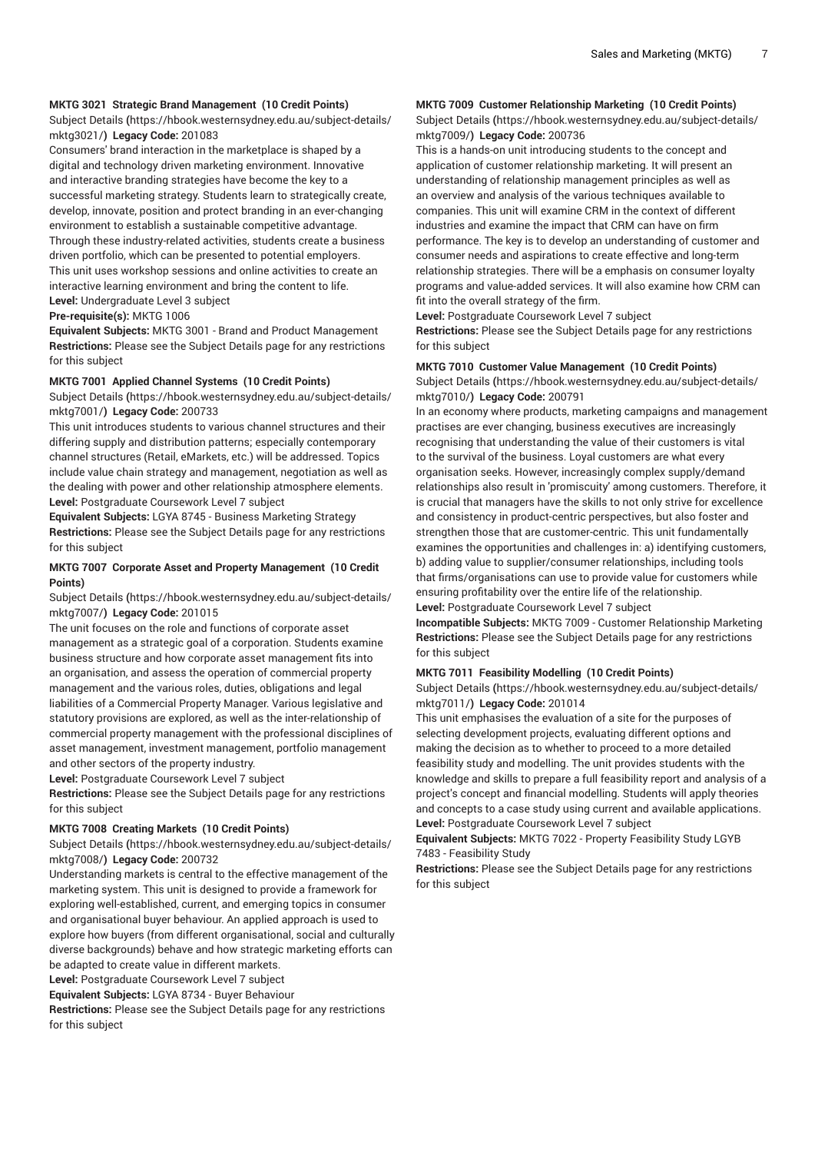## **MKTG 3021 Strategic Brand Management (10 Credit Points)**

[Subject Details](https://hbook.westernsydney.edu.au/subject-details/mktg3021/) **(**[https://hbook.westernsydney.edu.au/subject-details/](https://hbook.westernsydney.edu.au/subject-details/mktg3021/) [mktg3021/](https://hbook.westernsydney.edu.au/subject-details/mktg3021/)**) Legacy Code:** 201083

Consumers' brand interaction in the marketplace is shaped by a digital and technology driven marketing environment. Innovative and interactive branding strategies have become the key to a successful marketing strategy. Students learn to strategically create, develop, innovate, position and protect branding in an ever-changing environment to establish a sustainable competitive advantage. Through these industry-related activities, students create a business driven portfolio, which can be presented to potential employers. This unit uses workshop sessions and online activities to create an interactive learning environment and bring the content to life. **Level:** Undergraduate Level 3 subject

**Pre-requisite(s):** MKTG 1006

**Equivalent Subjects:** MKTG 3001 - Brand and Product Management **Restrictions:** Please see the Subject Details page for any restrictions for this subject

#### **MKTG 7001 Applied Channel Systems (10 Credit Points)**

[Subject Details](https://hbook.westernsydney.edu.au/subject-details/mktg7001/) **(**[https://hbook.westernsydney.edu.au/subject-details/](https://hbook.westernsydney.edu.au/subject-details/mktg7001/) [mktg7001/](https://hbook.westernsydney.edu.au/subject-details/mktg7001/)**) Legacy Code:** 200733

This unit introduces students to various channel structures and their differing supply and distribution patterns; especially contemporary channel structures (Retail, eMarkets, etc.) will be addressed. Topics include value chain strategy and management, negotiation as well as the dealing with power and other relationship atmosphere elements. **Level:** Postgraduate Coursework Level 7 subject

**Equivalent Subjects:** LGYA 8745 - Business Marketing Strategy **Restrictions:** Please see the Subject Details page for any restrictions for this subject

## **MKTG 7007 Corporate Asset and Property Management (10 Credit Points)**

[Subject Details](https://hbook.westernsydney.edu.au/subject-details/mktg7007/) **(**[https://hbook.westernsydney.edu.au/subject-details/](https://hbook.westernsydney.edu.au/subject-details/mktg7007/) [mktg7007/](https://hbook.westernsydney.edu.au/subject-details/mktg7007/)**) Legacy Code:** 201015

The unit focuses on the role and functions of corporate asset management as a strategic goal of a corporation. Students examine business structure and how corporate asset management fits into an organisation, and assess the operation of commercial property management and the various roles, duties, obligations and legal liabilities of a Commercial Property Manager. Various legislative and statutory provisions are explored, as well as the inter-relationship of commercial property management with the professional disciplines of asset management, investment management, portfolio management and other sectors of the property industry.

**Level:** Postgraduate Coursework Level 7 subject

**Restrictions:** Please see the Subject Details page for any restrictions for this subject

#### **MKTG 7008 Creating Markets (10 Credit Points)**

[Subject Details](https://hbook.westernsydney.edu.au/subject-details/mktg7008/) **(**[https://hbook.westernsydney.edu.au/subject-details/](https://hbook.westernsydney.edu.au/subject-details/mktg7008/) [mktg7008/](https://hbook.westernsydney.edu.au/subject-details/mktg7008/)**) Legacy Code:** 200732

Understanding markets is central to the effective management of the marketing system. This unit is designed to provide a framework for exploring well-established, current, and emerging topics in consumer and organisational buyer behaviour. An applied approach is used to explore how buyers (from different organisational, social and culturally diverse backgrounds) behave and how strategic marketing efforts can be adapted to create value in different markets. **Level:** Postgraduate Coursework Level 7 subject

**Equivalent Subjects:** LGYA 8734 - Buyer Behaviour

**Restrictions:** Please see the Subject Details page for any restrictions

for this subject

## **MKTG 7009 Customer Relationship Marketing (10 Credit Points)**

[Subject Details](https://hbook.westernsydney.edu.au/subject-details/mktg7009/) **(**[https://hbook.westernsydney.edu.au/subject-details/](https://hbook.westernsydney.edu.au/subject-details/mktg7009/) [mktg7009/](https://hbook.westernsydney.edu.au/subject-details/mktg7009/)**) Legacy Code:** 200736

This is a hands-on unit introducing students to the concept and application of customer relationship marketing. It will present an understanding of relationship management principles as well as an overview and analysis of the various techniques available to companies. This unit will examine CRM in the context of different industries and examine the impact that CRM can have on firm performance. The key is to develop an understanding of customer and consumer needs and aspirations to create effective and long-term relationship strategies. There will be a emphasis on consumer loyalty programs and value-added services. It will also examine how CRM can fit into the overall strategy of the firm.

**Level:** Postgraduate Coursework Level 7 subject

**Restrictions:** Please see the Subject Details page for any restrictions for this subject

#### **MKTG 7010 Customer Value Management (10 Credit Points)**

[Subject Details](https://hbook.westernsydney.edu.au/subject-details/mktg7010/) **(**[https://hbook.westernsydney.edu.au/subject-details/](https://hbook.westernsydney.edu.au/subject-details/mktg7010/) [mktg7010/](https://hbook.westernsydney.edu.au/subject-details/mktg7010/)**) Legacy Code:** 200791

In an economy where products, marketing campaigns and management practises are ever changing, business executives are increasingly recognising that understanding the value of their customers is vital to the survival of the business. Loyal customers are what every organisation seeks. However, increasingly complex supply/demand relationships also result in 'promiscuity' among customers. Therefore, it is crucial that managers have the skills to not only strive for excellence and consistency in product-centric perspectives, but also foster and strengthen those that are customer-centric. This unit fundamentally examines the opportunities and challenges in: a) identifying customers, b) adding value to supplier/consumer relationships, including tools that firms/organisations can use to provide value for customers while ensuring profitability over the entire life of the relationship.

**Level:** Postgraduate Coursework Level 7 subject

**Incompatible Subjects:** MKTG 7009 - Customer Relationship Marketing **Restrictions:** Please see the Subject Details page for any restrictions for this subject

#### **MKTG 7011 Feasibility Modelling (10 Credit Points)**

[Subject Details](https://hbook.westernsydney.edu.au/subject-details/mktg7011/) **(**[https://hbook.westernsydney.edu.au/subject-details/](https://hbook.westernsydney.edu.au/subject-details/mktg7011/) [mktg7011/](https://hbook.westernsydney.edu.au/subject-details/mktg7011/)**) Legacy Code:** 201014

This unit emphasises the evaluation of a site for the purposes of selecting development projects, evaluating different options and making the decision as to whether to proceed to a more detailed feasibility study and modelling. The unit provides students with the knowledge and skills to prepare a full feasibility report and analysis of a project's concept and financial modelling. Students will apply theories and concepts to a case study using current and available applications. **Level:** Postgraduate Coursework Level 7 subject

**Equivalent Subjects:** MKTG 7022 - Property Feasibility Study LGYB 7483 - Feasibility Study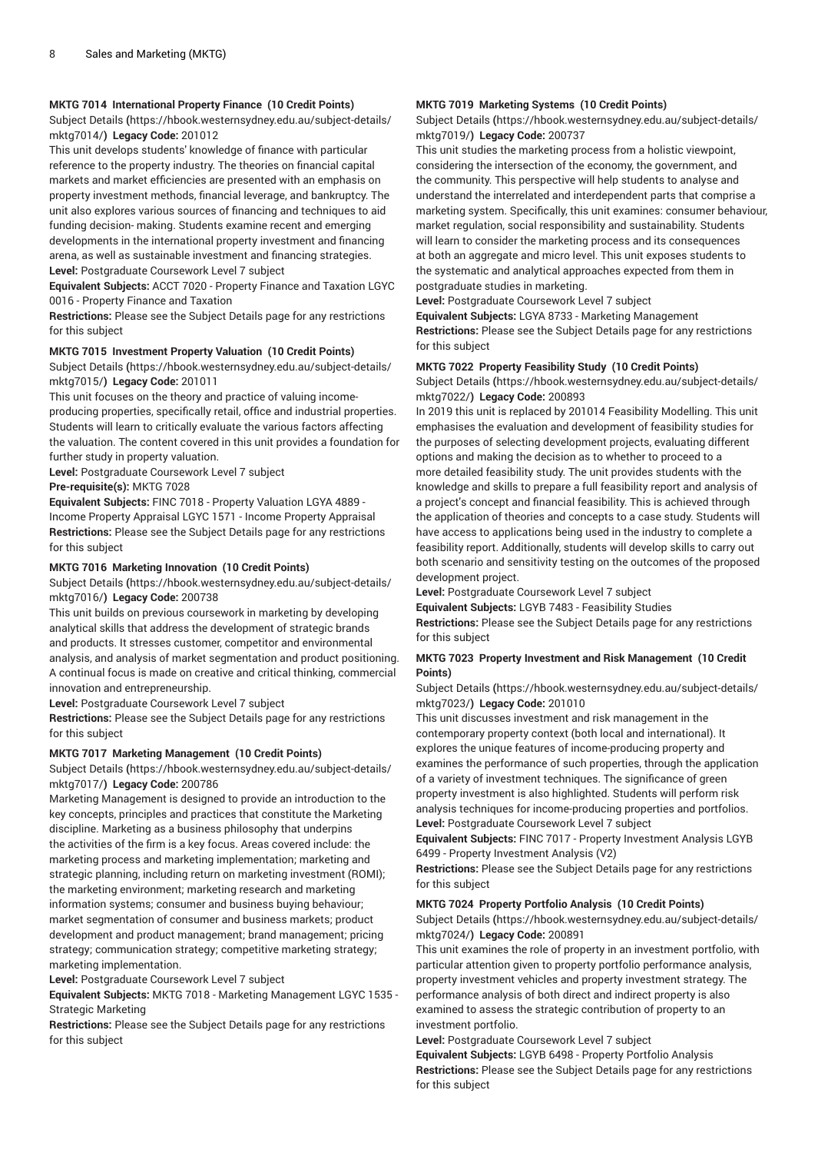## **MKTG 7014 International Property Finance (10 Credit Points)**

[Subject Details](https://hbook.westernsydney.edu.au/subject-details/mktg7014/) **(**[https://hbook.westernsydney.edu.au/subject-details/](https://hbook.westernsydney.edu.au/subject-details/mktg7014/) [mktg7014/](https://hbook.westernsydney.edu.au/subject-details/mktg7014/)**) Legacy Code:** 201012

This unit develops students' knowledge of finance with particular reference to the property industry. The theories on financial capital markets and market efficiencies are presented with an emphasis on property investment methods, financial leverage, and bankruptcy. The unit also explores various sources of financing and techniques to aid funding decision- making. Students examine recent and emerging developments in the international property investment and financing arena, as well as sustainable investment and financing strategies. **Level:** Postgraduate Coursework Level 7 subject

**Equivalent Subjects:** ACCT 7020 - Property Finance and Taxation LGYC 0016 - Property Finance and Taxation

**Restrictions:** Please see the Subject Details page for any restrictions for this subject

#### **MKTG 7015 Investment Property Valuation (10 Credit Points)**

[Subject Details](https://hbook.westernsydney.edu.au/subject-details/mktg7015/) **(**[https://hbook.westernsydney.edu.au/subject-details/](https://hbook.westernsydney.edu.au/subject-details/mktg7015/) [mktg7015/](https://hbook.westernsydney.edu.au/subject-details/mktg7015/)**) Legacy Code:** 201011

This unit focuses on the theory and practice of valuing incomeproducing properties, specifically retail, office and industrial properties. Students will learn to critically evaluate the various factors affecting the valuation. The content covered in this unit provides a foundation for further study in property valuation.

**Level:** Postgraduate Coursework Level 7 subject

**Pre-requisite(s):** MKTG 7028

**Equivalent Subjects:** FINC 7018 - Property Valuation LGYA 4889 - Income Property Appraisal LGYC 1571 - Income Property Appraisal **Restrictions:** Please see the Subject Details page for any restrictions for this subject

## **MKTG 7016 Marketing Innovation (10 Credit Points)**

[Subject Details](https://hbook.westernsydney.edu.au/subject-details/mktg7016/) **(**[https://hbook.westernsydney.edu.au/subject-details/](https://hbook.westernsydney.edu.au/subject-details/mktg7016/) [mktg7016/](https://hbook.westernsydney.edu.au/subject-details/mktg7016/)**) Legacy Code:** 200738

This unit builds on previous coursework in marketing by developing analytical skills that address the development of strategic brands and products. It stresses customer, competitor and environmental analysis, and analysis of market segmentation and product positioning. A continual focus is made on creative and critical thinking, commercial innovation and entrepreneurship.

**Level:** Postgraduate Coursework Level 7 subject

**Restrictions:** Please see the Subject Details page for any restrictions for this subject

## **MKTG 7017 Marketing Management (10 Credit Points)**

[Subject Details](https://hbook.westernsydney.edu.au/subject-details/mktg7017/) **(**[https://hbook.westernsydney.edu.au/subject-details/](https://hbook.westernsydney.edu.au/subject-details/mktg7017/) [mktg7017/](https://hbook.westernsydney.edu.au/subject-details/mktg7017/)**) Legacy Code:** 200786

Marketing Management is designed to provide an introduction to the key concepts, principles and practices that constitute the Marketing discipline. Marketing as a business philosophy that underpins the activities of the firm is a key focus. Areas covered include: the marketing process and marketing implementation; marketing and strategic planning, including return on marketing investment (ROMI); the marketing environment; marketing research and marketing information systems; consumer and business buying behaviour; market segmentation of consumer and business markets; product development and product management; brand management; pricing strategy; communication strategy; competitive marketing strategy; marketing implementation.

**Level:** Postgraduate Coursework Level 7 subject

**Equivalent Subjects:** MKTG 7018 - Marketing Management LGYC 1535 - Strategic Marketing

**Restrictions:** Please see the Subject Details page for any restrictions for this subject

# **MKTG 7019 Marketing Systems (10 Credit Points)**

[Subject Details](https://hbook.westernsydney.edu.au/subject-details/mktg7019/) **(**[https://hbook.westernsydney.edu.au/subject-details/](https://hbook.westernsydney.edu.au/subject-details/mktg7019/) [mktg7019/](https://hbook.westernsydney.edu.au/subject-details/mktg7019/)**) Legacy Code:** 200737

This unit studies the marketing process from a holistic viewpoint, considering the intersection of the economy, the government, and the community. This perspective will help students to analyse and understand the interrelated and interdependent parts that comprise a marketing system. Specifically, this unit examines: consumer behaviour, market regulation, social responsibility and sustainability. Students will learn to consider the marketing process and its consequences at both an aggregate and micro level. This unit exposes students to the systematic and analytical approaches expected from them in postgraduate studies in marketing.

**Level:** Postgraduate Coursework Level 7 subject

**Equivalent Subjects:** LGYA 8733 - Marketing Management **Restrictions:** Please see the Subject Details page for any restrictions for this subject

# **MKTG 7022 Property Feasibility Study (10 Credit Points)**

[Subject Details](https://hbook.westernsydney.edu.au/subject-details/mktg7022/) **(**[https://hbook.westernsydney.edu.au/subject-details/](https://hbook.westernsydney.edu.au/subject-details/mktg7022/) [mktg7022/](https://hbook.westernsydney.edu.au/subject-details/mktg7022/)**) Legacy Code:** 200893

In 2019 this unit is replaced by 201014 Feasibility Modelling. This unit emphasises the evaluation and development of feasibility studies for the purposes of selecting development projects, evaluating different options and making the decision as to whether to proceed to a more detailed feasibility study. The unit provides students with the knowledge and skills to prepare a full feasibility report and analysis of a project's concept and financial feasibility. This is achieved through the application of theories and concepts to a case study. Students will have access to applications being used in the industry to complete a feasibility report. Additionally, students will develop skills to carry out both scenario and sensitivity testing on the outcomes of the proposed development project.

**Level:** Postgraduate Coursework Level 7 subject

**Equivalent Subjects:** LGYB 7483 - Feasibility Studies

**Restrictions:** Please see the Subject Details page for any restrictions for this subject

## **MKTG 7023 Property Investment and Risk Management (10 Credit Points)**

[Subject Details](https://hbook.westernsydney.edu.au/subject-details/mktg7023/) **(**[https://hbook.westernsydney.edu.au/subject-details/](https://hbook.westernsydney.edu.au/subject-details/mktg7023/) [mktg7023/](https://hbook.westernsydney.edu.au/subject-details/mktg7023/)**) Legacy Code:** 201010

This unit discusses investment and risk management in the contemporary property context (both local and international). It explores the unique features of income-producing property and examines the performance of such properties, through the application of a variety of investment techniques. The significance of green property investment is also highlighted. Students will perform risk analysis techniques for income-producing properties and portfolios. **Level:** Postgraduate Coursework Level 7 subject

**Equivalent Subjects:** FINC 7017 - Property Investment Analysis LGYB 6499 - Property Investment Analysis (V2)

**Restrictions:** Please see the Subject Details page for any restrictions for this subject

# **MKTG 7024 Property Portfolio Analysis (10 Credit Points)**

[Subject Details](https://hbook.westernsydney.edu.au/subject-details/mktg7024/) **(**[https://hbook.westernsydney.edu.au/subject-details/](https://hbook.westernsydney.edu.au/subject-details/mktg7024/) [mktg7024/](https://hbook.westernsydney.edu.au/subject-details/mktg7024/)**) Legacy Code:** 200891

This unit examines the role of property in an investment portfolio, with particular attention given to property portfolio performance analysis, property investment vehicles and property investment strategy. The performance analysis of both direct and indirect property is also examined to assess the strategic contribution of property to an investment portfolio.

**Level:** Postgraduate Coursework Level 7 subject **Equivalent Subjects:** LGYB 6498 - Property Portfolio Analysis **Restrictions:** Please see the Subject Details page for any restrictions for this subject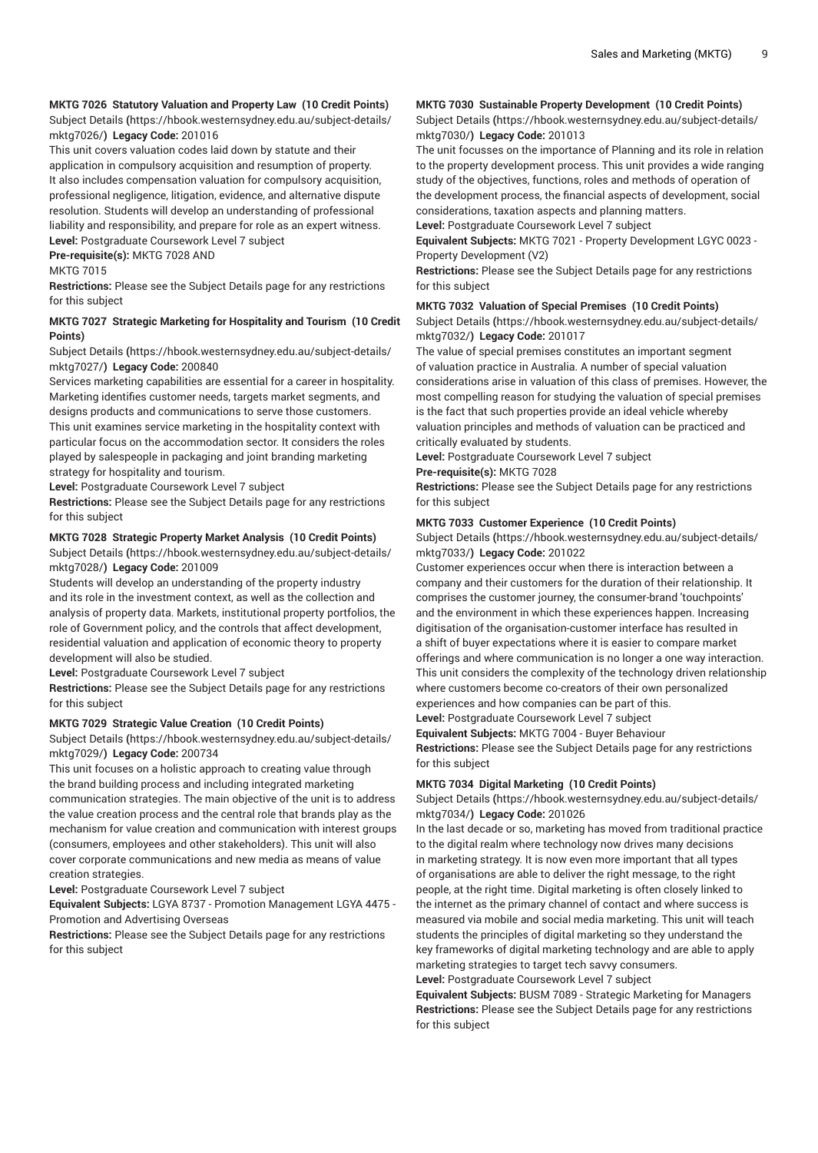## **MKTG 7026 Statutory Valuation and Property Law (10 Credit Points)** [Subject Details](https://hbook.westernsydney.edu.au/subject-details/mktg7026/) **(**[https://hbook.westernsydney.edu.au/subject-details/](https://hbook.westernsydney.edu.au/subject-details/mktg7026/)

[mktg7026/](https://hbook.westernsydney.edu.au/subject-details/mktg7026/)**) Legacy Code:** 201016

This unit covers valuation codes laid down by statute and their application in compulsory acquisition and resumption of property. It also includes compensation valuation for compulsory acquisition, professional negligence, litigation, evidence, and alternative dispute resolution. Students will develop an understanding of professional liability and responsibility, and prepare for role as an expert witness. **Level:** Postgraduate Coursework Level 7 subject **Pre-requisite(s):** MKTG 7028 AND

MKTG 7015

**Restrictions:** Please see the Subject Details page for any restrictions for this subject

# **MKTG 7027 Strategic Marketing for Hospitality and Tourism (10 Credit Points)**

[Subject Details](https://hbook.westernsydney.edu.au/subject-details/mktg7027/) **(**[https://hbook.westernsydney.edu.au/subject-details/](https://hbook.westernsydney.edu.au/subject-details/mktg7027/) [mktg7027/](https://hbook.westernsydney.edu.au/subject-details/mktg7027/)**) Legacy Code:** 200840

Services marketing capabilities are essential for a career in hospitality. Marketing identifies customer needs, targets market segments, and designs products and communications to serve those customers. This unit examines service marketing in the hospitality context with particular focus on the accommodation sector. It considers the roles played by salespeople in packaging and joint branding marketing strategy for hospitality and tourism.

**Level:** Postgraduate Coursework Level 7 subject

**Restrictions:** Please see the Subject Details page for any restrictions for this subject

## **MKTG 7028 Strategic Property Market Analysis (10 Credit Points)**

[Subject Details](https://hbook.westernsydney.edu.au/subject-details/mktg7028/) **(**[https://hbook.westernsydney.edu.au/subject-details/](https://hbook.westernsydney.edu.au/subject-details/mktg7028/) [mktg7028/](https://hbook.westernsydney.edu.au/subject-details/mktg7028/)**) Legacy Code:** 201009

Students will develop an understanding of the property industry and its role in the investment context, as well as the collection and analysis of property data. Markets, institutional property portfolios, the role of Government policy, and the controls that affect development, residential valuation and application of economic theory to property development will also be studied.

**Level:** Postgraduate Coursework Level 7 subject

**Restrictions:** Please see the Subject Details page for any restrictions for this subject

## **MKTG 7029 Strategic Value Creation (10 Credit Points)**

[Subject Details](https://hbook.westernsydney.edu.au/subject-details/mktg7029/) **(**[https://hbook.westernsydney.edu.au/subject-details/](https://hbook.westernsydney.edu.au/subject-details/mktg7029/) [mktg7029/](https://hbook.westernsydney.edu.au/subject-details/mktg7029/)**) Legacy Code:** 200734

This unit focuses on a holistic approach to creating value through the brand building process and including integrated marketing communication strategies. The main objective of the unit is to address the value creation process and the central role that brands play as the mechanism for value creation and communication with interest groups (consumers, employees and other stakeholders). This unit will also cover corporate communications and new media as means of value creation strategies.

**Level:** Postgraduate Coursework Level 7 subject

**Equivalent Subjects:** LGYA 8737 - Promotion Management LGYA 4475 - Promotion and Advertising Overseas

**Restrictions:** Please see the Subject Details page for any restrictions for this subject

# **MKTG 7030 Sustainable Property Development (10 Credit Points)**

[Subject Details](https://hbook.westernsydney.edu.au/subject-details/mktg7030/) **(**[https://hbook.westernsydney.edu.au/subject-details/](https://hbook.westernsydney.edu.au/subject-details/mktg7030/) [mktg7030/](https://hbook.westernsydney.edu.au/subject-details/mktg7030/)**) Legacy Code:** 201013

The unit focusses on the importance of Planning and its role in relation to the property development process. This unit provides a wide ranging study of the objectives, functions, roles and methods of operation of the development process, the financial aspects of development, social considerations, taxation aspects and planning matters.

**Level:** Postgraduate Coursework Level 7 subject

**Equivalent Subjects:** MKTG 7021 - Property Development LGYC 0023 - Property Development (V2)

**Restrictions:** Please see the Subject Details page for any restrictions for this subject

#### **MKTG 7032 Valuation of Special Premises (10 Credit Points)**

[Subject Details](https://hbook.westernsydney.edu.au/subject-details/mktg7032/) **(**[https://hbook.westernsydney.edu.au/subject-details/](https://hbook.westernsydney.edu.au/subject-details/mktg7032/) [mktg7032/](https://hbook.westernsydney.edu.au/subject-details/mktg7032/)**) Legacy Code:** 201017

The value of special premises constitutes an important segment of valuation practice in Australia. A number of special valuation considerations arise in valuation of this class of premises. However, the most compelling reason for studying the valuation of special premises is the fact that such properties provide an ideal vehicle whereby valuation principles and methods of valuation can be practiced and critically evaluated by students.

**Level:** Postgraduate Coursework Level 7 subject **Pre-requisite(s):** MKTG 7028

**Restrictions:** Please see the Subject Details page for any restrictions for this subject

## **MKTG 7033 Customer Experience (10 Credit Points)**

[Subject Details](https://hbook.westernsydney.edu.au/subject-details/mktg7033/) **(**[https://hbook.westernsydney.edu.au/subject-details/](https://hbook.westernsydney.edu.au/subject-details/mktg7033/) [mktg7033/](https://hbook.westernsydney.edu.au/subject-details/mktg7033/)**) Legacy Code:** 201022

Customer experiences occur when there is interaction between a company and their customers for the duration of their relationship. It comprises the customer journey, the consumer-brand 'touchpoints' and the environment in which these experiences happen. Increasing digitisation of the organisation-customer interface has resulted in a shift of buyer expectations where it is easier to compare market offerings and where communication is no longer a one way interaction. This unit considers the complexity of the technology driven relationship where customers become co-creators of their own personalized experiences and how companies can be part of this.

**Level:** Postgraduate Coursework Level 7 subject

**Equivalent Subjects:** MKTG 7004 - Buyer Behaviour

**Restrictions:** Please see the Subject Details page for any restrictions for this subject

## **MKTG 7034 Digital Marketing (10 Credit Points)**

[Subject Details](https://hbook.westernsydney.edu.au/subject-details/mktg7034/) **(**[https://hbook.westernsydney.edu.au/subject-details/](https://hbook.westernsydney.edu.au/subject-details/mktg7034/) [mktg7034/](https://hbook.westernsydney.edu.au/subject-details/mktg7034/)**) Legacy Code:** 201026

In the last decade or so, marketing has moved from traditional practice to the digital realm where technology now drives many decisions in marketing strategy. It is now even more important that all types of organisations are able to deliver the right message, to the right people, at the right time. Digital marketing is often closely linked to the internet as the primary channel of contact and where success is measured via mobile and social media marketing. This unit will teach students the principles of digital marketing so they understand the key frameworks of digital marketing technology and are able to apply marketing strategies to target tech savvy consumers. **Level:** Postgraduate Coursework Level 7 subject

**Equivalent Subjects:** BUSM 7089 - Strategic Marketing for Managers **Restrictions:** Please see the Subject Details page for any restrictions for this subject